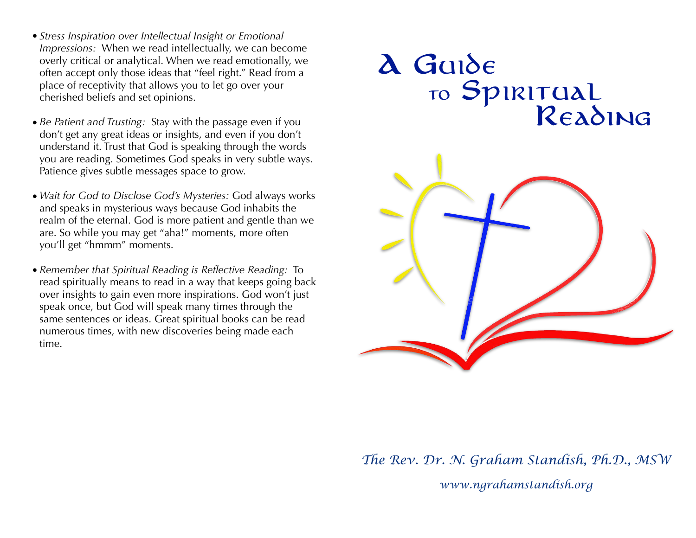- •*Stress Inspiration over Intellectual Insight or Emotional Impressions:* When we read intellectually, we can become overly critical or analytical. When we read emotionally, we often accept only those ideas that "feel right." Read from a place of receptivity that allows you to let go over your cherished beliefs and set opinions.
- •*Be Patient and Trusting:* Stay with the passage even if you don't get any great ideas or insights, and even if you don't understand it. Trust that God is speaking through the words you are reading. Sometimes God speaks in very subtle ways. Patience gives subtle messages space to grow.
- •*Wait for God to Disclose God's Mysteries:* God always works and speaks in mysterious ways because God inhabits the realm of the eternal. God is more patient and gentle than we are. So while you may get "aha!" moments, more often you'll get "hmmm" moments.
- •*Remember that Spiritual Reading is Reflective Reading:* To read spiritually means to read in a way that keeps going back over insights to gain even more inspirations. God won't just speak once, but God will speak many times through the same sentences or ideas. Great spiritual books can be read numerous times, with new discoveries being made each time.



*The Rev. Dr. N. Graham Standish, Ph.D., MSW www.ngrahamstandish.org*